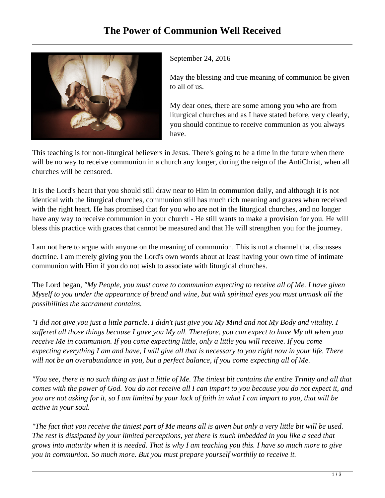

September 24, 2016

May the blessing and true meaning of communion be given to all of us.

My dear ones, there are some among you who are from liturgical churches and as I have stated before, very clearly, you should continue to receive communion as you always have.

This teaching is for non-liturgical believers in Jesus. There's going to be a time in the future when there will be no way to receive communion in a church any longer, during the reign of the AntiChrist, when all churches will be censored.

It is the Lord's heart that you should still draw near to Him in communion daily, and although it is not identical with the liturgical churches, communion still has much rich meaning and graces when received with the right heart. He has promised that for you who are not in the liturgical churches, and no longer have any way to receive communion in your church - He still wants to make a provision for you. He will bless this practice with graces that cannot be measured and that He will strengthen you for the journey.

I am not here to argue with anyone on the meaning of communion. This is not a channel that discusses doctrine. I am merely giving you the Lord's own words about at least having your own time of intimate communion with Him if you do not wish to associate with liturgical churches.

The Lord began, *"My People, you must come to communion expecting to receive all of Me. I have given Myself to you under the appearance of bread and wine, but with spiritual eyes you must unmask all the possibilities the sacrament contains.*

*"I did not give you just a little particle. I didn't just give you My Mind and not My Body and vitality. I suffered all those things because I gave you My all. Therefore, you can expect to have My all when you receive Me in communion. If you come expecting little, only a little you will receive. If you come expecting everything I am and have, I will give all that is necessary to you right now in your life. There will not be an overabundance in you, but a perfect balance, if you come expecting all of Me.*

*"You see, there is no such thing as just a little of Me. The tiniest bit contains the entire Trinity and all that comes with the power of God. You do not receive all I can impart to you because you do not expect it, and you are not asking for it, so I am limited by your lack of faith in what I can impart to you, that will be active in your soul.*

*"The fact that you receive the tiniest part of Me means all is given but only a very little bit will be used. The rest is dissipated by your limited perceptions, yet there is much imbedded in you like a seed that grows into maturity when it is needed. That is why I am teaching you this. I have so much more to give you in communion. So much more. But you must prepare yourself worthily to receive it.*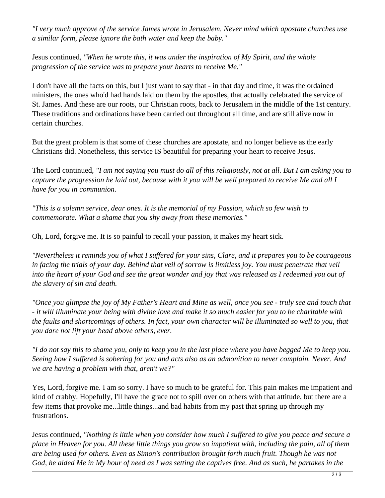*"I very much approve of the service James wrote in Jerusalem. Never mind which apostate churches use a similar form, please ignore the bath water and keep the baby."* 

Jesus continued, *"When he wrote this, it was under the inspiration of My Spirit, and the whole progression of the service was to prepare your hearts to receive Me."*

I don't have all the facts on this, but I just want to say that - in that day and time, it was the ordained ministers, the ones who'd had hands laid on them by the apostles, that actually celebrated the service of St. James. And these are our roots, our Christian roots, back to Jerusalem in the middle of the 1st century. These traditions and ordinations have been carried out throughout all time, and are still alive now in certain churches.

But the great problem is that some of these churches are apostate, and no longer believe as the early Christians did. Nonetheless, this service IS beautiful for preparing your heart to receive Jesus.

The Lord continued, *"I am not saying you must do all of this religiously, not at all. But I am asking you to capture the progression he laid out, because with it you will be well prepared to receive Me and all I have for you in communion.*

*"This is a solemn service, dear ones. It is the memorial of my Passion, which so few wish to commemorate. What a shame that you shy away from these memories."* 

Oh, Lord, forgive me. It is so painful to recall your passion, it makes my heart sick.

*"Nevertheless it reminds you of what I suffered for your sins, Clare, and it prepares you to be courageous in facing the trials of your day. Behind that veil of sorrow is limitless joy. You must penetrate that veil into the heart of your God and see the great wonder and joy that was released as I redeemed you out of the slavery of sin and death.* 

*"Once you glimpse the joy of My Father's Heart and Mine as well, once you see - truly see and touch that - it will illuminate your being with divine love and make it so much easier for you to be charitable with the faults and shortcomings of others. In fact, your own character will be illuminated so well to you, that you dare not lift your head above others, ever.*

*"I do not say this to shame you, only to keep you in the last place where you have begged Me to keep you. Seeing how I suffered is sobering for you and acts also as an admonition to never complain. Never. And we are having a problem with that, aren't we?"*

Yes, Lord, forgive me. I am so sorry. I have so much to be grateful for. This pain makes me impatient and kind of crabby. Hopefully, I'll have the grace not to spill over on others with that attitude, but there are a few items that provoke me...little things...and bad habits from my past that spring up through my frustrations.

Jesus continued, *"Nothing is little when you consider how much I suffered to give you peace and secure a place in Heaven for you. All these little things you grow so impatient with, including the pain, all of them are being used for others. Even as Simon's contribution brought forth much fruit. Though he was not God, he aided Me in My hour of need as I was setting the captives free. And as such, he partakes in the*